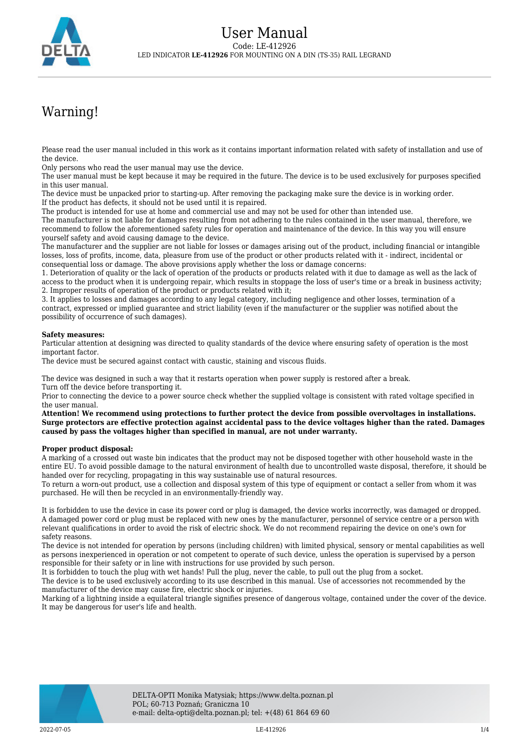

## Warning!

Please read the user manual included in this work as it contains important information related with safety of installation and use of the device.

Only persons who read the user manual may use the device.

The user manual must be kept because it may be required in the future. The device is to be used exclusively for purposes specified in this user manual.

The device must be unpacked prior to starting-up. After removing the packaging make sure the device is in working order. If the product has defects, it should not be used until it is repaired.

The product is intended for use at home and commercial use and may not be used for other than intended use.

The manufacturer is not liable for damages resulting from not adhering to the rules contained in the user manual, therefore, we recommend to follow the aforementioned safety rules for operation and maintenance of the device. In this way you will ensure yourself safety and avoid causing damage to the device.

The manufacturer and the supplier are not liable for losses or damages arising out of the product, including financial or intangible losses, loss of profits, income, data, pleasure from use of the product or other products related with it - indirect, incidental or consequential loss or damage. The above provisions apply whether the loss or damage concerns:

1. Deterioration of quality or the lack of operation of the products or products related with it due to damage as well as the lack of access to the product when it is undergoing repair, which results in stoppage the loss of user's time or a break in business activity; 2. Improper results of operation of the product or products related with it;

3. It applies to losses and damages according to any legal category, including negligence and other losses, termination of a contract, expressed or implied guarantee and strict liability (even if the manufacturer or the supplier was notified about the possibility of occurrence of such damages).

## **Safety measures:**

Particular attention at designing was directed to quality standards of the device where ensuring safety of operation is the most important factor.

The device must be secured against contact with caustic, staining and viscous fluids.

The device was designed in such a way that it restarts operation when power supply is restored after a break. Turn off the device before transporting it.

Prior to connecting the device to a power source check whether the supplied voltage is consistent with rated voltage specified in the user manual.

**Attention! We recommend using protections to further protect the device from possible overvoltages in installations. Surge protectors are effective protection against accidental pass to the device voltages higher than the rated. Damages caused by pass the voltages higher than specified in manual, are not under warranty.**

## **Proper product disposal:**

A marking of a crossed out waste bin indicates that the product may not be disposed together with other household waste in the entire EU. To avoid possible damage to the natural environment of health due to uncontrolled waste disposal, therefore, it should be handed over for recycling, propagating in this way sustainable use of natural resources.

To return a worn-out product, use a collection and disposal system of this type of equipment or contact a seller from whom it was purchased. He will then be recycled in an environmentally-friendly way.

It is forbidden to use the device in case its power cord or plug is damaged, the device works incorrectly, was damaged or dropped. A damaged power cord or plug must be replaced with new ones by the manufacturer, personnel of service centre or a person with relevant qualifications in order to avoid the risk of electric shock. We do not recommend repairing the device on one's own for safety reasons.

The device is not intended for operation by persons (including children) with limited physical, sensory or mental capabilities as well as persons inexperienced in operation or not competent to operate of such device, unless the operation is supervised by a person responsible for their safety or in line with instructions for use provided by such person.

It is forbidden to touch the plug with wet hands! Pull the plug, never the cable, to pull out the plug from a socket.

The device is to be used exclusively according to its use described in this manual. Use of accessories not recommended by the manufacturer of the device may cause fire, electric shock or injuries.

Marking of a lightning inside a equilateral triangle signifies presence of dangerous voltage, contained under the cover of the device. It may be dangerous for user's life and health.

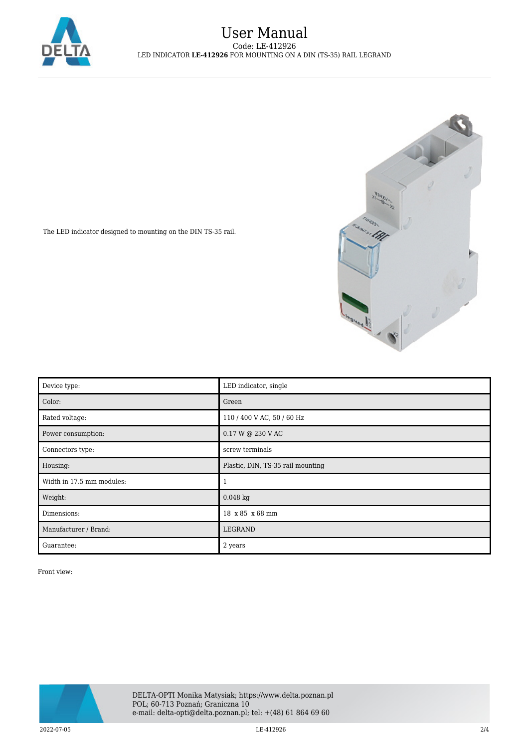



The LED indicator designed to mounting on the DIN TS-35 rail.

| Device type:              | LED indicator, single             |
|---------------------------|-----------------------------------|
| Color:                    | Green                             |
| Rated voltage:            | 110 / 400 V AC, 50 / 60 Hz        |
| Power consumption:        | 0.17 W @ 230 V AC                 |
| Connectors type:          | screw terminals                   |
| Housing:                  | Plastic, DIN, TS-35 rail mounting |
| Width in 17.5 mm modules: |                                   |
| Weight:                   | $0.048$ kg                        |
| Dimensions:               | 18 x 85 x 68 mm                   |
| Manufacturer / Brand:     | LEGRAND                           |
| Guarantee:                | 2 years                           |

Front view:

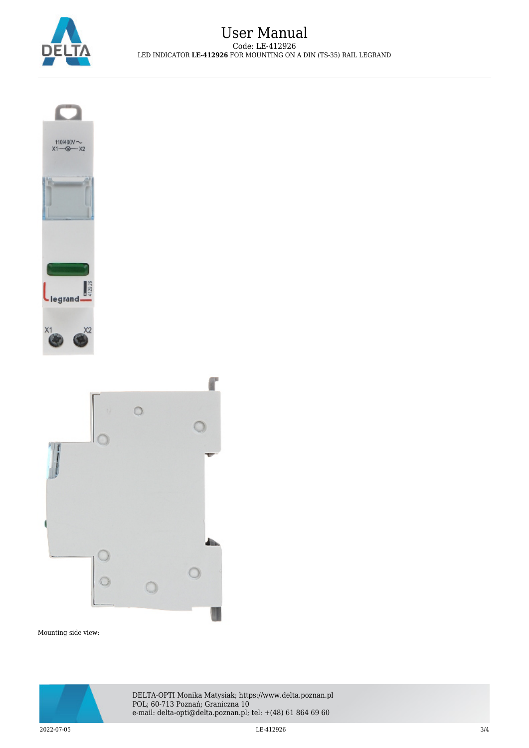





Mounting side view:



DELTA-OPTI Monika Matysiak; https://www.delta.poznan.pl POL; 60-713 Poznań; Graniczna 10 e-mail: delta-opti@delta.poznan.pl; tel: +(48) 61 864 69 60

 $2022$ -07-05 3/4